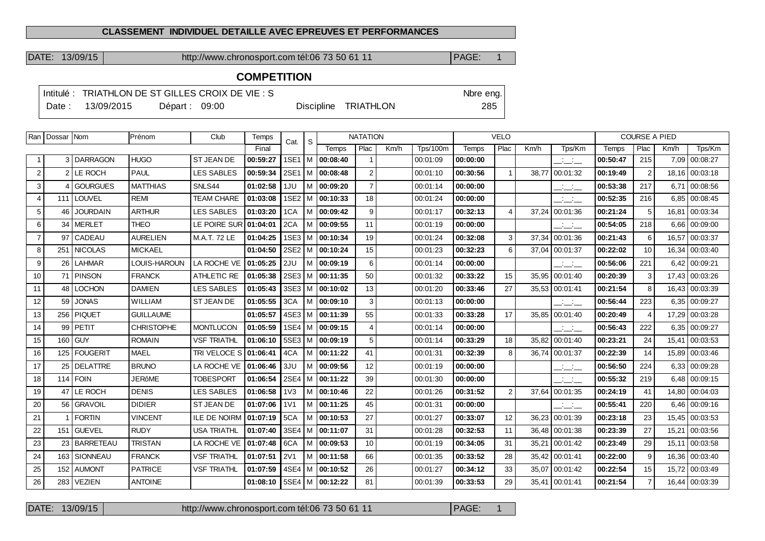#### **CLASSEMENT INDIVIDUEL DETAILLE AVEC EPREUVES ET PERFORMANCES**

DATE: 13/09/15 http://www.chronosport.com tél:06 73 50 61 11 PAGE: 1

# **COMPETITION**

|       |            |                | Intitulé : TRIATHLON DE ST GILLES CROIX DE VIE : S |                      | Nbre eng. |
|-------|------------|----------------|----------------------------------------------------|----------------------|-----------|
| Date: | 13/09/2015 | Départ : 09:00 |                                                    | Discipline TRIATHLON | 285       |

|                | Ran   Dossar   Nom |                  | Prénom              | Club                | Temps    | Cat.             | S | <b>NATATION</b>     |                |      |                 | <b>VELO</b> |                |       |                                                   | <b>COURSE A PIED</b> |                |       |                 |
|----------------|--------------------|------------------|---------------------|---------------------|----------|------------------|---|---------------------|----------------|------|-----------------|-------------|----------------|-------|---------------------------------------------------|----------------------|----------------|-------|-----------------|
|                |                    |                  |                     |                     | Final    |                  |   | Temps               | Plac           | Km/h | <b>Tps/100m</b> | Temps       | Plac           | Km/h  | Tps/Km                                            | Temps                | Plac           | Km/h  | Tps/Km          |
|                |                    | 3 DARRAGON       | <b>HUGO</b>         | <b>ST JEAN DE</b>   | 00:59:27 |                  |   | 1SE1   M   00:08:40 |                |      | 00:01:09        | 00:00:00    |                |       | $  -$                                             | 00:50:47             | 215            | 7,09  | 00:08:27        |
| $\overline{c}$ | $\overline{2}$     | <b>LE ROCH</b>   | <b>PAUL</b>         | <b>LES SABLES</b>   | 00:59:34 |                  |   | 2SE1   M   00:08:48 | $\overline{2}$ |      | 00:01:10        | 00:30:56    | $\mathbf{1}$   | 38,77 | 00:01:32                                          | 00:19:49             | $\overline{2}$ |       | 18,16 00:03:18  |
| 3              |                    | <b>GOURGUES</b>  | <b>MATTHIAS</b>     | SNLS44              | 01:02:58 | 1JU              |   | M 00:09:20          | $\overline{7}$ |      | 00:01:14        | 00:00:00    |                |       | $\frac{1}{2}$ and $\frac{1}{2}$                   | 00:53:38             | 217            | 6.71  | 00:08:56        |
| $\overline{4}$ |                    | 111   LOUVEL     | <b>REMI</b>         | <b>TEAM CHARE</b>   | 01:03:08 |                  |   | 1SE2   M   00:10:33 | 18             |      | 00:01:24        | 00:00:00    |                |       | $  -$                                             | 00:52:35             | 216            |       | 6,85 00:08:45   |
| 5              | 46                 | <b>JOURDAIN</b>  | <b>ARTHUR</b>       | <b>LES SABLES</b>   | 01:03:20 | 1CA              |   | M   00:09:42        | 9              |      | 00:01:17        | 00:32:13    | 4              | 37,24 | 00:01:36                                          | 00:21:24             | 5              |       | 16,81 00:03:34  |
| 6              | 34                 | MERLET           | <b>THEO</b>         | LE POIRE SUR        | 01:04:01 | 2CA              |   | M 00:09:55          | 11             |      | 00:01:19        | 00:00:00    |                |       | $\frac{1}{2}$ and $\frac{1}{2}$                   | 00:54:05             | 218            | 6,66  | 00:09:00        |
| $\overline{7}$ | 97                 | CADEAU           | <b>AURELIEN</b>     | M.A.T. 72 LE        | 01:04:25 |                  |   | 1SE3   M   00:10:34 | 19             |      | 00:01:24        | 00:32:08    | 3              |       | 37,34 00:01:36                                    | 00:21:43             | 6              | 16,57 | 00:03:37        |
| 8              |                    | 251 NICOLAS      | <b>MICKAEL</b>      |                     | 01:04:50 |                  |   | 2SE2   M   00:10:24 | 15             |      | 00:01:23        | 00:32:23    | 6              |       | 37,04 00:01:37                                    | 00:22:02             | 10             |       | 16,34 00:03:40  |
| 9              | 26                 | <b>LAHMAR</b>    | <b>LOUIS-HAROUN</b> | LA ROCHE VE         | 01:05:25 | 2JU              |   | M   00:09:19        | 6              |      | 00:01:14        | 00:00:00    |                |       | سأنسأ                                             | 00:56:06             | 221            |       | 6,42 00:09:21   |
| 10             |                    | 71 PINSON        | <b>FRANCK</b>       | ATHLETIC RE         | 01:05:38 |                  |   | 2SE3   M   00:11:35 | 50             |      | 00:01:32        | 00:33:22    | 15             |       | 35,95 00:01:40                                    | 00:20:39             | 3              |       | 17,43 00:03:26  |
| 11             | 48                 | <b>LOCHON</b>    | <b>DAMIEN</b>       | <b>LES SABLES</b>   | 01:05:43 |                  |   | 3SE3   M   00:10:02 | 13             |      | 00:01:20        | 00:33:46    | 27             |       | 35,53 00:01:41                                    | 00:21:54             | 8              |       | 16,43 00:03:39  |
| 12             | 59                 | <b>JONAS</b>     | <b>WILLIAM</b>      | <b>ST JEAN DE</b>   | 01:05:55 | 3CA              |   | M 100:09:10         | 3              |      | 00:01:13        | 00:00:00    |                |       | $\overline{\phantom{a}}$ $\overline{\phantom{a}}$ | 00:56:44             | 223            |       | 6.35 00:09:27   |
| 13             | 256                | <b>PIQUET</b>    | <b>GUILLAUME</b>    |                     | 01:05:57 |                  |   | 4SE3   M   00:11:39 | 55             |      | 00:01:33        | 00:33:28    | 17             |       | 35,85 00:01:40                                    | 00:20:49             | $\overline{4}$ |       | 17,29 00:03:28  |
| 14             | 99                 | PETIT            | <b>CHRISTOPHE</b>   | <b>MONTLUCON</b>    | 01:05:59 |                  |   | 1SE4   M   00:09:15 | $\overline{4}$ |      | 00:01:14        | 00:00:00    |                |       | $  -$                                             | 00:56:43             | 222            |       | 6,35 00:09:27   |
| 15             | 160                | <b>GUY</b>       | <b>ROMAIN</b>       | <b>VSF TRIATHL</b>  | 01:06:10 |                  |   | 5SE3   M   00:09:19 | 5              |      | 00:01:14        | 00:33:29    | 18             | 35,82 | 00:01:40                                          | 00:23:21             | 24             |       | 15,41 00:03:53  |
| 16             | 125                | <b>FOUGERIT</b>  | <b>MAEL</b>         | TRI VELOCE S        | 01:06:41 | 4CA              |   | M 100:11:22         | 41             |      | 00:01:31        | 00:32:39    | 8              | 36,74 | 00:01:37                                          | 00:22:39             | 14             |       | 15,89 00:03:46  |
| 17             | 25                 | <b>DELATTRE</b>  | <b>BRUNO</b>        | LA ROCHE VE         | 01:06:46 | 3JU              |   | M 100:09:56         | 12             |      | 00:01:19        | 00:00:00    |                |       | $  -$                                             | 00:56:50             | 224            |       | 6,33   00:09:28 |
| 18             | 114                | l FOIN           | <b>JERôME</b>       | <b>TOBESPORT</b>    | 01:06:54 |                  |   | 2SE4   M   00:11:22 | 39             |      | 00:01:30        | 00:00:00    |                |       | $\frac{1}{2}$ and $\frac{1}{2}$                   | 00:55:32             | 219            |       | 6,48 00:09:15   |
| 19             | 47                 | LE ROCH          | <b>DENIS</b>        | <b>LES SABLES</b>   | 01:06:58 | 1 <sub>V</sub> 3 |   | M 100:10:46         | 22             |      | 00:01:26        | 00:31:52    | $\overline{2}$ |       | 37,64 00:01:35                                    | 00:24:19             | 41             |       | 14,80 00:04:03  |
| 20             |                    | 56 GRAVOIL       | <b>DIDIER</b>       | <b>ST JEAN DE</b>   | 01:07:06 | 1 <sub>V</sub> 1 |   | M 100:11:25         | 45             |      | 00:01:31        | 00:00:00    |                |       | $  -$                                             | 00:55:41             | 220            |       | $6,46$ 00:09:16 |
| 21             |                    | <b>FORTIN</b>    | <b>VINCENT</b>      | <b>ILE DE NOIRM</b> | 01:07:19 | 5CA              |   | M 100:10:53         | 27             |      | 00:01:27        | 00:33:07    | 12             |       | 36,23 00:01:39                                    | 00:23:18             | 23             |       | 15,45 00:03:53  |
| 22             | 151 <sup>1</sup>   | <b>GUEVEL</b>    | <b>RUDY</b>         | <b>USA TRIATHL</b>  | 01:07:40 | 3SE4             |   | M   00:11:07        | 31             |      | 00:01:28        | 00:32:53    | 11             | 36.48 | 00:01:38                                          | 00:23:39             | 27             | 15.21 | 00:03:56        |
| 23             | 23                 | <b>BARRETEAU</b> | <b>TRISTAN</b>      | LA ROCHE VE         | 01:07:48 | 6CA              |   | M   00:09:53        | 10             |      | 00:01:19        | 00:34:05    | 31             | 35,21 | 00:01:42                                          | 00:23:49             | 29             |       | 15,11 00:03:58  |
| 24             |                    | 163   SIONNEAU   | <b>FRANCK</b>       | <b>VSF TRIATHL</b>  | 01:07:51 | 2V1              |   | M   00:11:58        | 66             |      | 00:01:35        | 00:33:52    | 28             | 35,42 | 00:01:41                                          | 00:22:00             | 9              |       | 16,36 00:03:40  |
| 25             | 152                | <b>AUMONT</b>    | <b>PATRICE</b>      | <b>VSF TRIATHL</b>  | 01:07:59 |                  |   | 4SE4   M   00:10:52 | 26             |      | 00:01:27        | 00:34:12    | 33             | 35,07 | 00:01:42                                          | 00:22:54             | 15             | 15,72 | 00:03:49        |
| 26             | 283                | <b>VEZIEN</b>    | <b>ANTOINE</b>      |                     | 01:08:10 |                  |   | 5SE4   M   00:12:22 | 81             |      | 00:01:39        | 00:33:53    | 29             |       | 35,41 00:01:41                                    | 00:21:54             | $\overline{7}$ |       | 16,44 00:03:39  |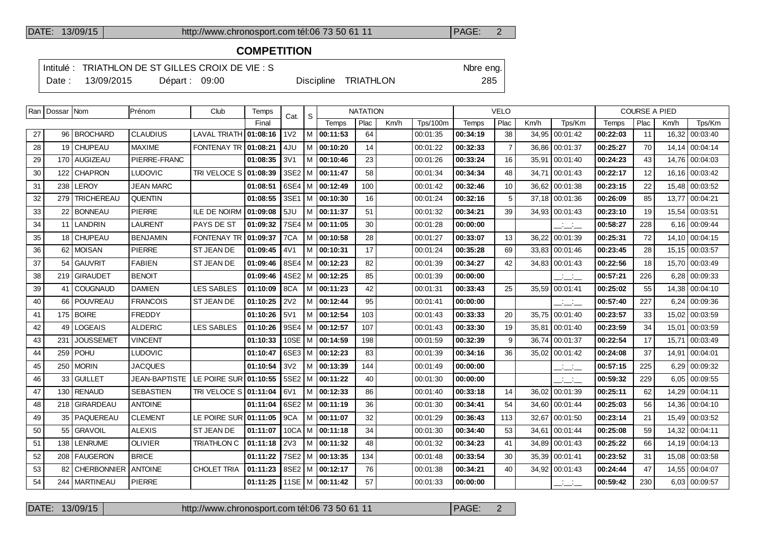### **COMPETITION**

Intitulé : TRIATHLON DE ST GILLES CROIX DE VIE : S<br>
Nbre eng.

Date : 13/09/2015 Départ : 09:00 Discipline TRIATHLON 285

|    | Ran   Dossar   Nom |                    | Prénom               | Club                         | Temps    | Cat.             | <b>NATATION</b><br>S. |                     |      |      |                 |          | <b>VELO</b>    |       |                                 |          | <b>COURSE A PIED</b> |        |                |
|----|--------------------|--------------------|----------------------|------------------------------|----------|------------------|-----------------------|---------------------|------|------|-----------------|----------|----------------|-------|---------------------------------|----------|----------------------|--------|----------------|
|    |                    |                    |                      |                              | Final    |                  |                       | Temps               | Plac | Km/h | <b>Tps/100m</b> | Temps    | Plac           | Km/h  | Tps/Km                          | Temps    | Plac                 | Km/h   | Tps/Km         |
| 27 |                    | 96 BROCHARD        | <b>CLAUDIUS</b>      | <b>LAVAL TRIATH</b>          | 01:08:16 | 1 <sub>V</sub> 2 | м                     | 00:11:53            | 64   |      | 00:01:35        | 00:34:19 | 38             | 34.95 | 00:01:42                        | 00:22:03 | 11                   | 16.32  | 00:03:40       |
| 28 |                    | 19 CHUPEAU         | <b>MAXIME</b>        | FONTENAY TR   01:08:21       |          | 4JU              | м                     | 00:10:20            | 14   |      | 00:01:22        | 00:32:33 | $\overline{7}$ | 36,86 | 00:01:37                        | 00:25:27 | 70                   | 14, 14 | 00:04:14       |
| 29 |                    | 170   AUGIZEAU     | PIERRE-FRANC         |                              | 01:08:35 | 3V1              | м                     | 00:10:46            | 23   |      | 00:01:26        | 00:33:24 | 16             | 35,91 | 00:01:40                        | 00:24:23 | 43                   | 14,76  | 00:04:03       |
| 30 |                    | 122 CHAPRON        | LUDOVIC              | <b>TRI VELOCE S 01:08:39</b> |          | $3SE2$ M         |                       | 00:11:47            | 58   |      | 00:01:34        | 00:34:34 | 48             | 34.71 | 00:01:43                        | 00:22:17 | 12                   |        | 16.16 00:03:42 |
| 31 | 238                | LEROY              | JEAN MARC            |                              | 01:08:51 | 6SE4 M           |                       | 00:12:49            | 100  |      | 00:01:42        | 00:32:46 | 10             | 36.62 | 00:01:38                        | 00:23:15 | 22                   |        | 15.48 00:03:52 |
| 32 |                    | 279 TRICHEREAU     | <b>QUENTIN</b>       |                              | 01:08:55 | 3SE1             | M                     | 00:10:30            | 16   |      | 00:01:24        | 00:32:16 | 5              |       | 37.18 00:01:36                  | 00:26:09 | 85                   | 13.77  | 00:04:21       |
| 33 |                    | 22   BONNEAU       | <b>PIERRE</b>        | <b>ILE DE NOIRN</b>          | 01:09:08 | 5JU              | м                     | 00:11:37            | 51   |      | 00:01:32        | 00:34:21 | 39             | 34,93 | 00:01:43                        | 00:23:10 | 19                   | 15,54  | 00:03:51       |
| 34 |                    | 11 LANDRIN         | LAURENT              | PAYS DE ST                   | 01:09:32 | 7SE4             | M                     | 00:11:05            | 30   |      | 00:01:28        | 00:00:00 |                |       | $\frac{1}{2}$ and $\frac{1}{2}$ | 00:58:27 | 228                  |        | 6.16 00:09:44  |
| 35 |                    | 18   CHUPEAU       | <b>BENJAMIN</b>      | <b>FONTENAY TR</b>           | 01:09:37 | 7CA              | м                     | 00:10:58            | 28   |      | 00:01:27        | 00:33:07 | 13             | 36.22 | 00:01:39                        | 00:25:31 | 72                   |        | 14.10 00:04:15 |
| 36 |                    | 62   MOISAN        | <b>PIERRE</b>        | ST JEAN DE                   | 01:09:45 | 4V1              | м                     | 00:10:31            | 17   |      | 00:01:24        | 00:35:28 | 69             |       | 33.83 00:01:46                  | 00:23:45 | 28                   |        | 15,15 00:03:57 |
| 37 | 54                 | <b>GAUVRIT</b>     | <b>FABIEN</b>        | <b>ST JEAN DE</b>            | 01:09:46 | 8SE4             | м                     | 00:12:23            | 82   |      | 00:01:39        | 00:34:27 | 42             | 34,83 | 00:01:43                        | 00:22:56 | 18                   | 15,70  | 00:03:49       |
| 38 |                    | 219   GIRAUDET     | <b>BENOIT</b>        |                              | 01:09:46 | $4SE2$   M       |                       | 00:12:25            | 85   |      | 00:01:39        | 00:00:00 |                |       | $  -$                           | 00:57:21 | 226                  | 6,28   | 00:09:33       |
| 39 |                    | 41 COUGNAUD        | <b>DAMIEN</b>        | <b>LES SABLES</b>            | 01:10:09 | 8CA              | м                     | 00:11:23            | 42   |      | 00:01:31        | 00:33:43 | 25             | 35.59 | 00:01:41                        | 00:25:02 | 55                   | 14.38  | 00:04:10       |
| 40 |                    | 66   POUVREAU      | <b>FRANCOIS</b>      | <b>ST JEAN DE</b>            | 01:10:25 | <b>2V2</b>       | м                     | 00:12:44            | 95   |      | 00:01:41        | 00:00:00 |                |       | $\overline{\phantom{a}}$        | 00:57:40 | 227                  | 6.24   | 00:09:36       |
| 41 |                    | 175   BOIRE        | <b>FREDDY</b>        |                              | 01:10:26 | 5V1              | м                     | 00:12:54            | 103  |      | 00:01:43        | 00:33:33 | 20             | 35.75 | 00:01:40                        | 00:23:57 | 33                   | 15,02  | 00:03:59       |
| 42 |                    | 49   LOGEAIS       | <b>ALDERIC</b>       | <b>LES SABLES</b>            | 01:10:26 | 9SE4             | M                     | 00:12:57            | 107  |      | 00.01:43        | 00:33:30 | 19             | 35,81 | 00.01.40                        | 00:23:59 | 34                   |        | 15,01 00:03:59 |
| 43 | 231                | <b>JOUSSEMET</b>   | <b>VINCENT</b>       |                              | 01:10:33 | $10SE$ M         |                       | 00:14:59            | 198  |      | 00:01:59        | 00:32:39 | 9              | 36.74 | 00:01:37                        | 00:22:54 | 17                   | 15.71  | 00:03:49       |
| 44 |                    | 259   POHU         | LUDOVIC              |                              | 01:10:47 | 6SE3 M           |                       | 00:12:23            | 83   |      | 00:01:39        | 00:34:16 | 36             |       | 35,02 00:01:42                  | 00:24:08 | 37                   |        | 14.91 00:04:01 |
| 45 |                    | 250   MORIN        | JACQUES              |                              | 01:10:54 | 3V <sub>2</sub>  | м                     | 00:13:39            | 144  |      | 00:01:49        | 00:00:00 |                |       | <b>Contractor</b><br>$  -$      | 00:57:15 | 225                  | 6.29   | 00:09:32       |
| 46 |                    | 33   GUILLET       | <b>JEAN-BAPTISTE</b> | LE POIRE SUR 01:10:55        |          | $5SE2$ M         |                       | 00:11:22            | 40   |      | 00:01:30        | 00:00:00 |                |       | $\overline{\phantom{a}}$        | 00:59:32 | 229                  |        | 6,05 00:09:55  |
| 47 | 130 <sub>1</sub>   | <b>RENAUD</b>      | <b>SEBASTIEN</b>     | <b>TRI VELOCE S 01:11:04</b> |          | 6V1              | м                     | 00:12:33            | 86   |      | 00:01:40        | 00:33:18 | 14             | 36,02 | 00:01:39                        | 00:25:11 | 62                   | 14,29  | 00:04:11       |
| 48 |                    | 218 GIRARDEAU      | <b>ANTOINE</b>       |                              | 01:11:04 | 6SE2 M           |                       | 00:11:19            | 36   |      | 00:01:30        | 00:34:41 | 54             | 34.60 | 00:01:44                        | 00:25:03 | 56                   |        | 14.36 00:04:10 |
| 49 |                    | 35   PAQUEREAU     | <b>CLEMENT</b>       | LE POIRE SUR                 | 01:11:05 | 9CA              | м                     | 00:11:07            | 32   |      | 00:01:29        | 00:36:43 | 113            | 32,67 | 00:01:50                        | 00:23:14 | 21                   | 15,49  | 00:03:52       |
| 50 |                    | 55 GRAVOIL         | <b>ALEXIS</b>        | <b>ST JEAN DE</b>            | 01:11:07 | 10CA             | M                     | 00:11:18            | 34   |      | 00:01:30        | 00:34:40 | 53             | 34,61 | 00:01:44                        | 00:25:08 | 59                   | 14,32  | 00:04:11       |
| 51 | 138                | <b>LENRUME</b>     | <b>OLIVIER</b>       | <b>TRIATHLON C</b>           | 01:11:18 | 2V3              | м                     | 00:11:32            | 48   |      | 00:01:32        | 00:34:23 | 41             | 34.89 | 00:01:43                        | 00:25:22 | 66                   | 14.19  | 00:04:13       |
| 52 |                    | 208   FAUGERON     | <b>BRICE</b>         |                              | 01:11:22 | 7SE2   M         |                       | 00:13:35            | 134  |      | 00:01:48        | 00:33:54 | 30             | 35,39 | 00:01:41                        | 00:23:52 | 31                   |        | 15,08 00:03:58 |
| 53 | 82                 | <b>CHERBONNIER</b> | <b>ANTOINE</b>       | <b>CHOLET TRIA</b>           | 01:11:23 | 8SE2   M         |                       | 00:12:17            | 76   |      | 00:01:38        | 00:34:21 | 40             | 34,92 | 00:01:43                        | 00:24:44 | 47                   | 14,55  | 00:04:07       |
| 54 |                    | 244   MARTINEAU    | PIERRE               |                              | 01:11:25 |                  |                       | 11SE   M   00:11:42 | 57   |      | 00:01:33        | 00:00:00 |                |       | <b>All Card</b>                 | 00:59:42 | 230                  |        | 6.03 00:09:57  |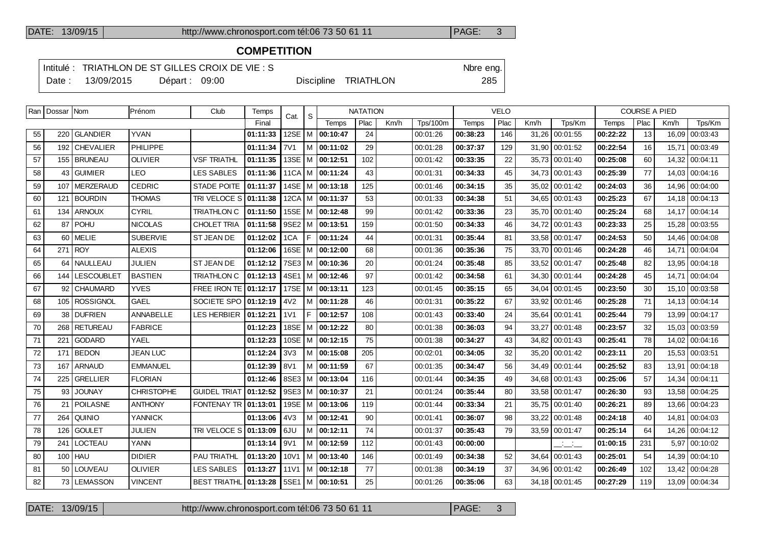### **COMPETITION**

Cat.  $|S|$ 

Intitulé : TRIATHLON DE ST GILLES CROIX DE VIE : S<br>
Nbre eng.

Ran Dossar Nom Prénom Club Temps

Date : 13/09/2015 Départ : 09:00 Discipline TRIATHLON 285

| <b>NATATION</b> |      |          |       | VELO |      |        |       |      | <b>COURSE A PIED</b> |
|-----------------|------|----------|-------|------|------|--------|-------|------|----------------------|
| Plac            | Km/h | Tps/100m | Temps | Plac | Km/h | Tps/Km | Temps | Plac | Km/r                 |

|    |                 |                   |                   |                       | Final    |                  |    | Temps                 | Plac | Km/h | Tps/100m | Temps    | Plac | Km/h  | Tps/Km         | Temps    | Plac | Km/h  | Tps/Km         |
|----|-----------------|-------------------|-------------------|-----------------------|----------|------------------|----|-----------------------|------|------|----------|----------|------|-------|----------------|----------|------|-------|----------------|
| 55 | 220             | <b>GLANDIER</b>   | <b>YVAN</b>       |                       | 01:11:33 | 12SE             |    | $ M $ 00:10:47        | 24   |      | 00:01:26 | 00:38:23 | 146  | 31,26 | 00:01:55       | 00:22:22 | 13   | 16,09 | 00:03:43       |
| 56 |                 | 192 CHEVALIER     | <b>PHILIPPE</b>   |                       | 01:11:34 | <b>7V1</b>       |    | M   00:11:02          | 29   |      | 00:01:28 | 00:37:37 | 129  |       | 31,90 00:01:52 | 00:22:54 | 16   |       | 15,71 00:03:49 |
| 57 |                 | 155 BRUNEAU       | <b>OLIVIER</b>    | <b>VSF TRIATHL</b>    | 01:11:35 |                  |    | 13SE M 00:12:51       | 102  |      | 00:01:42 | 00:33:35 | 22   |       | 35,73 00:01:40 | 00:25:08 | 60   |       | 14,32 00:04:11 |
| 58 |                 | 43 GUIMIER        | LEO               | <b>LES SABLES</b>     | 01:11:36 |                  |    | $11CA$ M $ $ 00:11:24 | 43   |      | 00:01:31 | 00:34:33 | 45   | 34,73 | 00:01:43       | 00:25:39 | 77   | 14.03 | 00:04:16       |
| 59 | 107             | <b>MERZERAUD</b>  | <b>CEDRIC</b>     | <b>STADE POITE</b>    | 01:11:37 | 14SE             |    | $ M $ 00:13:18        | 125  |      | 00:01:46 | 00:34:15 | 35   | 35,02 | 00:01:42       | 00:24:03 | 36   | 14,96 | 00:04:00       |
| 60 | 121             | <b>BOURDIN</b>    | <b>THOMAS</b>     | TRI VELOCE S 01:11:38 |          |                  |    | $12CA$   M   00:11:37 | 53   |      | 00:01:33 | 00:34:38 | 51   |       | 34,65 00:01:43 | 00:25:23 | 67   |       | 14,18 00:04:13 |
| 61 | 134             | <b>ARNOUX</b>     | <b>CYRIL</b>      | <b>TRIATHLON C</b>    | 01:11:50 | <b>15SE</b>      |    | $ M $ 00:12:48        | 99   |      | 00:01:42 | 00:33:36 | 23   |       | 35,70 00:01:40 | 00:25:24 | 68   |       | 14,17 00:04:14 |
| 62 |                 | 87 POHU           | <b>NICOLAS</b>    | CHOLET TRIA           | 01:11:58 |                  |    | 9SE2   M   00:13:51   | 159  |      | 00:01:50 | 00:34:33 | 46   |       | 34,72 00:01:43 | 00:23:33 | 25   |       | 15.28 00:03:55 |
| 63 | 60 l            | MELIE             | <b>SUBERVIE</b>   | ST JEAN DE            | 01:12:02 | 1CA              | F  | 00:11:24              | 44   |      | 00:01:31 | 00:35:44 | 81   |       | 33,58 00:01:47 | 00:24:53 | 50   |       | 14,46 00:04:08 |
| 64 |                 | 271 ROY           | <b>ALEXIS</b>     |                       | 01:12:06 | 16SE             |    | M 00:12:00            | 68   |      | 00:01:36 | 00:35:36 | 75   |       | 33,70 00:01:46 | 00:24:28 | 46   |       | 14,71 00:04:04 |
| 65 |                 | 64 NAULLEAU       | <b>JULIEN</b>     | <b>ST JEAN DE</b>     | 01:12:12 |                  |    | 7SE3 M 00:10:36       | 20   |      | 00:01:24 | 00:35:48 | 85   |       | 33,52 00:01:47 | 00:25:48 | 82   | 13,95 | 00:04:18       |
| 66 | 144             | <b>LESCOUBLET</b> | <b>BASTIEN</b>    | <b>TRIATHLON C</b>    | 01:12:13 |                  |    | 4SE1   M   00:12:46   | 97   |      | 00:01:42 | 00:34:58 | 61   |       | 34,30 00:01:44 | 00:24:28 | 45   | 14.71 | 00:04:04       |
| 67 |                 | 92   CHAUMARD     | <b>YVES</b>       | FREE IRON TE          | 01:12:17 |                  |    | 17SE   M   00:13:11   | 123  |      | 00:01:45 | 00:35:15 | 65   |       | 34,04 00:01:45 | 00:23:50 | 30   |       | 15,10 00:03:58 |
| 68 |                 | 105 ROSSIGNOL     | <b>GAEL</b>       | SOCIETE SPO           | 01:12:19 | 4V <sub>2</sub>  |    | M 00:11:28            | 46   |      | 00:01:31 | 00:35:22 | 67   |       | 33,92 00:01:46 | 00:25:28 | 71   |       | 14,13 00:04:14 |
| 69 | 38 l            | <b>DUFRIEN</b>    | ANNABELLE         | <b>LES HERBIER</b>    | 01:12:21 | 1 <sub>V</sub> 1 | F. | 00:12:57              | 108  |      | 00:01:43 | 00:33:40 | 24   | 35,64 | 00:01:41       | 00:25:44 | 79   |       | 13,99 00:04:17 |
| 70 | 268 l           | <b>RETUREAU</b>   | <b>FABRICE</b>    |                       | 01:12:23 | 18SE             |    | M 100:12:22           | 80   |      | 00:01:38 | 00:36:03 | 94   | 33,27 | 00:01:48       | 00:23:57 | 32   | 15.03 | 00:03:59       |
| 71 | 221             | <b>GODARD</b>     | YAEL              |                       | 01:12:23 |                  |    | 10SE   M   00:12:15   | 75   |      | 00:01:38 | 00:34:27 | 43   |       | 34,82 00:01:43 | 00:25:41 | 78   | 14,02 | 00:04:16       |
| 72 |                 | 171 BEDON         | <b>JEAN LUC</b>   |                       | 01:12:24 | 3V3              |    | M 00:15:08            | 205  |      | 00:02:01 | 00:34:05 | 32   |       | 35,20 00:01:42 | 00:23:11 | 20   |       | 15,53 00:03:51 |
| 73 | 167             | <b>ARNAUD</b>     | <b>EMMANUEL</b>   |                       | 01:12:39 | 8V1              |    | M 00:11:59            | 67   |      | 00:01:35 | 00:34:47 | 56   | 34.49 | 00:01:44       | 00:25:52 | 83   | 13.91 | 00:04:18       |
| 74 | 225             | <b>GRELLIER</b>   | <b>FLORIAN</b>    |                       | 01:12:46 |                  |    | 8SE3   M   00:13:04   | 116  |      | 00:01:44 | 00:34:35 | 49   |       | 34,68 00:01:43 | 00:25:06 | 57   | 14,34 | 00:04:11       |
| 75 | 93              | <b>JOUNAY</b>     | <b>CHRISTOPHE</b> | <b>GUIDEL TRIAT</b>   | 01:12:52 |                  |    | 9SE3   M   00:10:37   | 21   |      | 00:01:24 | 00:35:44 | 80   | 33,58 | 00:01:47       | 00:26:30 | 93   | 13,58 | 00:04:25       |
| 76 | $21 \mid$       | <b>POILASNE</b>   | <b>ANTHONY</b>    | <b>FONTENAY TR</b>    | 01:13:01 |                  |    | 19SE   M   00:13:06   | 119  |      | 00:01:44 | 00:33:34 | 21   |       | 35,75 00:01:40 | 00:26:21 | 89   | 13.66 | 00:04:23       |
| 77 | 264             | QUINIO            | <b>YANNICK</b>    |                       | 01:13:06 | 4V3              |    | M 100:12:41           | 90   |      | 00:01:41 | 00:36:07 | 98   |       | 33,22 00:01:48 | 00:24:18 | 40   | 14.81 | 00:04:03       |
| 78 | 126             | <b>GOULET</b>     | <b>JULIEN</b>     | TRI VELOCE S          | 01:13:09 | 6JU              |    | M 00:12:11            | 74   |      | 00:01:37 | 00:35:43 | 79   |       | 33,59 00:01:47 | 00:25:14 | 64   | 14.26 | 00:04:12       |
| 79 | 241             | LOCTEAU           | YANN              |                       | 01:13:14 | 9V1              |    | M   00:12:59          | 112  |      | 00:01:43 | 00:00:00 |      |       | سأنسأ          | 01:00:15 | 231  |       | 5,97 00:10:02  |
| 80 |                 | 100 HAU           | <b>DIDIER</b>     | PAU TRIATHL           | 01:13:20 | 10V1             |    | M   00:13:40          | 146  |      | 00:01:49 | 00:34:38 | 52   |       | 34,64 00:01:43 | 00:25:01 | 54   |       | 14,39 00:04:10 |
| 81 | 50 <sub>1</sub> | LOUVEAU           | <b>OLIVIER</b>    | <b>LES SABLES</b>     | 01:13:27 | 11 <sub>V1</sub> |    | M 00:12:18            | 77   |      | 00:01:38 | 00:34:19 | 37   |       | 34,96 00:01:42 | 00:26:49 | 102  | 13,42 | 00:04:28       |
| 82 |                 | 73 LEMASSON       | <b>VINCENT</b>    | BEST TRIATHL 01:13:28 |          |                  |    | 5SE1   M   00:10:51   | 25   |      | 00:01:26 | 00:35:06 | 63   |       | 34,18 00:01:45 | 00:27:29 | 119  |       | 13.09 00:04:34 |
|    |                 |                   |                   |                       |          |                  |    |                       |      |      |          |          |      |       |                |          |      |       |                |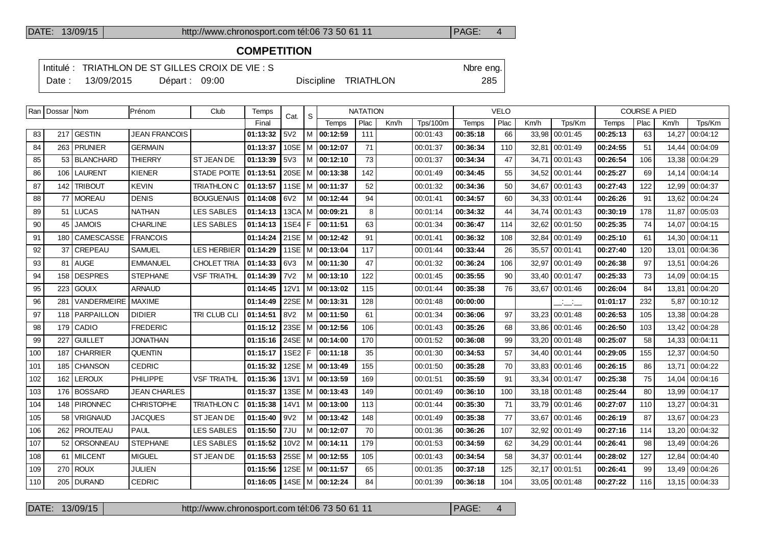## **COMPETITION**

Intitulé : TRIATHLON DE ST GILLES CROIX DE VIE : S<br>
Nbre eng.

Date : 13/09/2015 Départ : 09:00 Discipline TRIATHLON 285

|     | Ran   Dossar   Nom |                        | Prénom               | Club               | Temps    | Cat.            | <b>NATATION</b><br>S. |                            |      |      |                 | <b>VELO</b> |      |       |                | <b>COURSE A PIED</b> |      |       |                |
|-----|--------------------|------------------------|----------------------|--------------------|----------|-----------------|-----------------------|----------------------------|------|------|-----------------|-------------|------|-------|----------------|----------------------|------|-------|----------------|
|     |                    |                        |                      |                    | Final    |                 |                       | Temps                      | Plac | Km/h | <b>Tps/100m</b> | Temps       | Plac | Km/h  | Tps/Km         | Temps                | Plac | Km/h  | Tps/Km         |
| 83  |                    | 217 GESTIN             | <b>JEAN FRANCOIS</b> |                    | 01:13:32 | 5V2             |                       | M 00:12:59                 | 111  |      | 00:01:43        | 00:35:18    | 66   | 33.98 | 00:01:45       | 00:25:13             | 63   | 14,27 | 00:04:12       |
| 84  |                    | 263 PRUNIER            | <b>GERMAIN</b>       |                    | 01:13:37 |                 |                       | 10SE   M   00:12:07        | 71   |      | 00:01:37        | 00:36:34    | 110  | 32,81 | 00:01:49       | 00:24:55             | 51   |       | 14,44 00:04:09 |
| 85  |                    | 53 BLANCHARD           | <b>THIERRY</b>       | <b>ST JEAN DE</b>  | 01:13:39 | 5V3             |                       | M 00:12:10                 | 73   |      | 00:01:37        | 00:34:34    | 47   | 34,71 | 00:01:43       | 00:26:54             | 106  |       | 13,38 00:04:29 |
| 86  | 106                | LAURENT                | <b>KIENER</b>        | <b>STADE POITE</b> | 01:13:51 |                 |                       | 20SE   M   00:13:38        | 142  |      | 00:01:49        | 00:34:45    | 55   | 34,52 | 00:01:44       | 00:25:27             | 69   |       | 14,14 00:04:14 |
| 87  | 142                | <b>TRIBOUT</b>         | <b>KEVIN</b>         | <b>TRIATHLON C</b> | 01:13:57 |                 |                       | 11SE   M   00:11:37        | 52   |      | 00:01:32        | 00:34:36    | 50   | 34,67 | 00:01:43       | 00:27:43             | 122  |       | 12,99 00:04:37 |
| 88  |                    | 77   MOREAU            | <b>DENIS</b>         | <b>BOUGUENAIS</b>  | 01:14:08 | 6V2             |                       | M 00:12:44                 | 94   |      | 00:01:41        | 00:34:57    | 60   |       | 34,33 00:01:44 | 00:26:26             | 91   |       | 13,62 00:04:24 |
| 89  |                    | 51 LUCAS               | <b>NATHAN</b>        | <b>LES SABLES</b>  | 01:14:13 |                 |                       | 13CA   M   00:09:21        | 8    |      | 00:01:14        | 00:34:32    | 44   | 34.74 | 00:01:43       | 00:30:19             | 178  |       | 11.87 00:05:03 |
| 90  | 45                 | <b>JAMOIS</b>          | <b>CHARLINE</b>      | <b>LES SABLES</b>  | 01:14:13 |                 |                       | 1SE4 F 00:11:51            | 63   |      | 00:01:34        | 00:36:47    | 114  | 32,62 | 00:01:50       | 00:25:35             | 74   |       | 14,07 00:04:15 |
| 91  | 180                | l CAMESCASSE           | <b>FRANCOIS</b>      |                    | 01:14:24 |                 |                       | 21SE   M   00:12:42        | 91   |      | 00:01:41        | 00:36:32    | 108  |       | 32.84 00:01:49 | 00:25:10             | 61   |       | 14.30 00:04:11 |
| 92  | 37                 | <b>CREPEAU</b>         | <b>SAMUEL</b>        | <b>LES HERBIER</b> | 01:14:29 |                 |                       | 11SE   M   00:13:04        | 117  |      | 00:01:44        | 00:33:44    | 26   | 35.57 | 00:01:41       | 00:27:40             | 120  |       | 13,01 00:04:36 |
| 93  |                    | 81 AUGE                | <b>EMMANUEL</b>      | CHOLET TRIA        | 01:14:33 | 6V3             |                       | M 100:11:30                | 47   |      | 00:01:32        | 00:36:24    | 106  | 32,97 | 00:01:49       | 00:26:38             | 97   |       | 13,51 00:04:26 |
| 94  | 158                | DESPRES                | <b>STEPHANE</b>      | <b>VSF TRIATHL</b> | 01:14:39 | <b>7V2</b>      |                       | $M$   00:13:10             | 122  |      | 00:01:45        | 00:35:55    | 90   |       | 33,40 00:01:47 | 00:25:33             | 73   |       | 14,09 00:04:15 |
| 95  | 223                | <b>GOUIX</b>           | <b>ARNAUD</b>        |                    | 01:14:45 | <b>12V1</b>     |                       | M 00:13:02                 | 115  |      | 00:01:44        | 00:35:38    | 76   |       | 33,67 00:01:46 | 00:26:04             | 84   |       | 13,81 00:04:20 |
| 96  | 281                | <b>VANDERMEIRE</b>     | <b>MAXIME</b>        |                    | 01:14:49 |                 |                       | 22SE   M   00:13:31        | 128  |      | 00:01:48        | 00:00:00    |      |       | للأسائل        | 01:01:17             | 232  | 5.87  | 00:10:12       |
| 97  |                    | 118   PARPAILLON       | <b>DIDIER</b>        | TRI CLUB CLI       | 01:14:51 | 8V <sub>2</sub> |                       | M   00:11:50               | 61   |      | 00:01:34        | 00:36:06    | 97   | 33,23 | 00:01:48       | 00:26:53             | 105  |       | 13,38 00:04:28 |
| 98  | 179                | l CADIO                | <b>FREDERIC</b>      |                    | 01:15:12 |                 |                       | 23SE   M   00:12:56        | 106  |      | 00:01:43        | 00:35:26    | 68   | 33,86 | 00:01:46       | 00:26:50             | 103  |       | 13,42 00:04:28 |
| 99  | 227                | <b>GUILLET</b>         | <b>JONATHAN</b>      |                    | 01:15:16 |                 |                       | 24SE   M   00:14:00        | 170  |      | 00:01:52        | 00:36:08    | 99   | 33,20 | 00:01:48       | 00:25:07             | 58   |       | 14,33 00:04:11 |
| 100 | 187                | <b>CHARRIER</b>        | <b>QUENTIN</b>       |                    | 01:15:17 |                 |                       | 1SE2   F   00:11:18        | 35   |      | 00:01:30        | 00:34:53    | 57   | 34.40 | 00:01:44       | 00:29:05             | 155  | 12.37 | 00:04:50       |
| 101 |                    | 185 CHANSON            | <b>CEDRIC</b>        |                    | 01:15:32 |                 |                       | 12SE   M <b>  00:13:49</b> | 155  |      | 00:01:50        | 00:35:28    | 70   |       | 33.83 00:01:46 | 00:26:15             | 86   |       | 13.71 00:04:22 |
| 102 | 162                | <b>LEROUX</b>          | <b>PHILIPPE</b>      | <b>VSF TRIATHL</b> | 01:15:36 | 13V1            |                       | M 00:13:59                 | 169  |      | 00:01:51        | 00:35:59    | 91   | 33,34 | 00:01:47       | 00:25:38             | 75   | 14.04 | 00:04:16       |
| 103 |                    | 176 BOSSARD            | <b>JEAN CHARLES</b>  |                    | 01:15:37 |                 |                       | 13SE   M   00:13:43        | 149  |      | 00:01:49        | 00:36:10    | 100  |       | 33.18 00:01:48 | 00:25:44             | 80   |       | 13.99 00:04:17 |
| 104 |                    | 148 PIRONNEC           | <b>CHRISTOPHE</b>    | <b>TRIATHLON C</b> | 01:15:38 | 14V1            |                       | M 00:13:00                 | 113  |      | 00:01:44        | 00:35:30    | 71   |       | 33,79 00:01:46 | 00:27:07             | 110  | 13,27 | 00:04:31       |
| 105 | 58                 | <b>VRIGNAUD</b>        | <b>JACQUES</b>       | <b>ST JEAN DE</b>  | 01:15:40 | 9V <sub>2</sub> |                       | $M$ 00:13:42               | 148  |      | 00:01:49        | 00:35:38    | 77   | 33,67 | 00:01:46       | 00:26:19             | 87   |       | 13,67 00:04:23 |
| 106 | 262                | <i><b>PROUTEAU</b></i> | <b>PAUL</b>          | <b>LES SABLES</b>  | 01:15:50 | 7JU             |                       | M 00:12:07                 | 70   |      | 00:01:36        | 00:36:26    | 107  | 32,92 | 00:01:49       | 00:27:16             | 114  |       | 13.20 00:04:32 |
| 107 | 52                 | <b>ORSONNEAU</b>       | <b>STEPHANE</b>      | <b>LES SABLES</b>  | 01:15:52 | 10V2            |                       | M   00:14:11               | 179  |      | 00:01:53        | 00:34:59    | 62   | 34,29 | 00:01:44       | 00:26:41             | 98   |       | 13,49 00:04:26 |
| 108 |                    | 61 MILCENT             | <b>MIGUEL</b>        | <b>ST JEAN DE</b>  | 01:15:53 |                 |                       | 25SE   M   00:12:55        | 105  |      | 00:01:43        | 00:34:54    | 58   | 34,37 | 00:01:44       | 00:28:02             | 127  |       | 12,84 00:04:40 |
| 109 | 270                | ROUX                   | JULIEN               |                    | 01:15:56 |                 |                       | 12SE   M   00:11:57        | 65   |      | 00:01:35        | 00:37:18    | 125  | 32,17 | 00:01:51       | 00:26:41             | 99   |       | 13,49 00:04:26 |
| 110 |                    | 205 DURAND             | <b>CEDRIC</b>        |                    | 01:16:05 |                 |                       | 14SE   M   00:12:24        | 84   |      | 00:01:39        | 00:36:18    | 104  |       | 33,05 00:01:48 | 00:27:22             | 116  |       | 13,15 00:04:33 |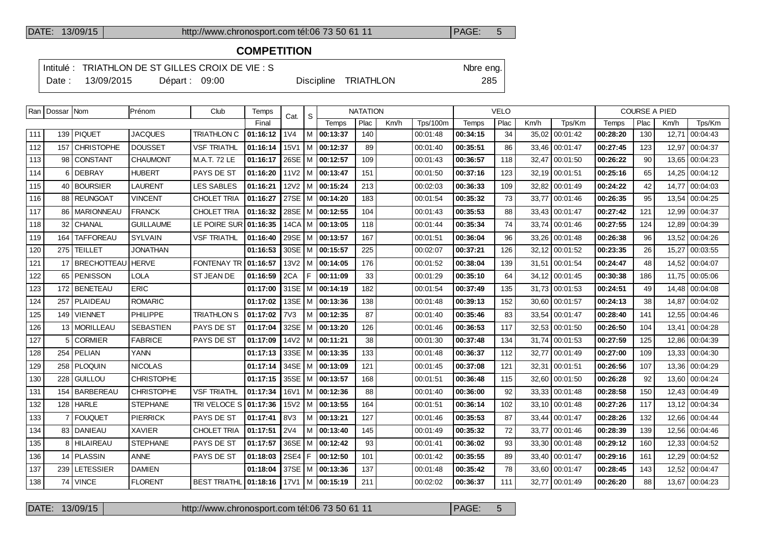## **COMPETITION**

Intitulé : TRIATHLON DE ST GILLES CROIX DE VIE : S<br>
Nbre eng.

Date : 13/09/2015 Départ : 09:00 Discipline TRIATHLON 285

| ۰. |  |
|----|--|
|    |  |

| Ran | Dossar Nom |                    | Prénom            | Club                  | Temps    | Cat.             | S | <b>NATATION</b>       |      |      | <b>VELO</b>     |          |      |       | <b>COURSE A PIED</b> |          |      |       |                |
|-----|------------|--------------------|-------------------|-----------------------|----------|------------------|---|-----------------------|------|------|-----------------|----------|------|-------|----------------------|----------|------|-------|----------------|
|     |            |                    |                   |                       | Final    |                  |   | Temps                 | Plac | Km/h | <b>Tps/100m</b> | Temps    | Plac | Km/h  | Tps/Km               | Temps    | Plac | Km/h  | Tps/Km         |
| 111 | 139        | <b>PIQUET</b>      | <b>JACQUES</b>    | <b>TRIATHLON C</b>    | 01:16:12 | 1 <sub>V</sub> 4 |   | M 00:13:37            | 140  |      | 00:01:48        | 00:34:15 | 34   | 35,02 | 00:01:42             | 00:28:20 | 130  | 12.71 | 00:04:43       |
| 112 | 157        | <b>CHRISTOPHE</b>  | <b>DOUSSET</b>    | VSF TRIATHL           | 01:16:14 | 15V1             |   | M 100:12:37           | 89   |      | 00:01:40        | 00:35:51 | 86   |       | 33,46 00:01:47       | 00:27:45 | 123  |       | 12,97 00:04:37 |
| 113 | 98         | <b>CONSTANT</b>    | <b>CHAUMONT</b>   | M.A.T. 72 LE          | 01:16:17 |                  |   | 26SE   M   00:12:57   | 109  |      | 00:01:43        | 00:36:57 | 118  | 32,47 | 00:01:50             | 00:26:22 | 90   |       | 13,65 00:04:23 |
| 114 | 6          | <b>DEBRAY</b>      | <b>HUBERT</b>     | PAYS DE ST            | 01:16:20 |                  |   | $11V2$   M   00:13:47 | 151  |      | 00:01:50        | 00:37:16 | 123  |       | 32,19 00:01:51       | 00:25:16 | 65   |       | 14,25 00:04:12 |
| 115 | 40         | <b>BOURSIER</b>    | <b>LAURENT</b>    | <b>LES SABLES</b>     | 01:16:21 |                  |   | $12V2$   M   00:15:24 | 213  |      | 00:02:03        | 00:36:33 | 109  | 32,82 | 00:01:49             | 00:24:22 | 42   |       | 14,77 00:04:03 |
| 116 | 88         | <b>REUNGOAT</b>    | <b>VINCENT</b>    | CHOLET TRIA           | 01:16:27 |                  |   | 27SE   M   00:14:20   | 183  |      | 00:01:54        | 00:35:32 | 73   | 33,77 | 00:01:46             | 00:26:35 | 95   |       | 13,54 00:04:25 |
| 117 | 86         | <b>IMARIONNEAU</b> | <b>FRANCK</b>     | CHOLET TRIA           | 01:16:32 |                  |   | 28SE   M   00:12:55   | 104  |      | 00:01:43        | 00:35:53 | 88   |       | 33,43 00:01:47       | 00:27:42 | 121  |       | 12,99 00:04:37 |
| 118 | 32         | <b>CHANAL</b>      | <b>GUILLAUME</b>  | LE POIRE SUR 01:16:35 |          |                  |   | 14CA   M   00:13:05   | 118  |      | 00:01:44        | 00:35:34 | 74   |       | 33,74 00:01:46       | 00:27:55 | 124  |       | 12,89 00:04:39 |
| 119 | 164        | <b>TAFFOREAU</b>   | <b>SYLVAIN</b>    | <b>VSF TRIATHL</b>    | 01:16:40 |                  |   | 29SE   M   00:13:57   | 167  |      | 00:01:51        | 00:36:04 | 96   |       | 33,26 00:01:48       | 00:26:38 | 96   |       | 13,52 00:04:26 |
| 120 | 275        | TEILLET            | JONATHAN          |                       | 01:16:53 |                  |   | 30SE   M   00:15:57   | 225  |      | 00:02:07        | 00:37:21 | 126  |       | 32,12 00:01:52       | 00:23:35 | 26   |       | 15,27 00:03:55 |
| 121 |            | 17 BRECHOTTEAU     | <b>HERVE</b>      | <b>FONTENAY TR</b>    | 01:16:57 | 13V2             |   | $ M $ 00:14:05        | 176  |      | 00:01:52        | 00:38:04 | 139  | 31,51 | 00:01:54             | 00:24:47 | 48   | 14,52 | 00:04:07       |
| 122 |            | 65 PENISSON        | LOLA              | ST JEAN DE            | 01:16:59 | 2CA              | F | 00:11:09              | 33   |      | 00:01:29        | 00:35:10 | 64   |       | 34,12 00:01:45       | 00:30:38 | 186  |       | 11,75 00:05:06 |
| 123 | 172        | <b>BENETEAU</b>    | <b>ERIC</b>       |                       | 01:17:00 |                  |   | 31SE   M   00:14:19   | 182  |      | 00:01:54        | 00:37:49 | 135  |       | 31,73 00:01:53       | 00:24:51 | 49   | 14,48 | 00:04:08       |
| 124 |            | 257   PLAIDEAU     | <b>ROMARIC</b>    |                       | 01:17:02 |                  |   | 13SE   M   00:13:36   | 138  |      | 00:01:48        | 00:39:13 | 152  |       | 30,60 00:01:57       | 00:24:13 | 38   |       | 14,87 00:04:02 |
| 125 | 149        | <b>VIENNET</b>     | PHILIPPE          | <b>TRIATHLON S</b>    | 01:17:02 | 7V3              |   | M 00:12:35            | 87   |      | 00:01:40        | 00:35:46 | 83   | 33,54 | 00:01:47             | 00:28:40 | 141  |       | 12,55 00:04:46 |
| 126 |            | 13   MORILLEAU     | <b>SEBASTIEN</b>  | PAYS DE ST            | 01:17:04 |                  |   | 32SE   M   00:13:20   | 126  |      | 00:01:46        | 00:36:53 | 117  |       | 32,53 00:01:50       | 00:26:50 | 104  |       | 13,41 00:04:28 |
| 127 | 5          | <b>CORMIER</b>     | <b>FABRICE</b>    | PAYS DE ST            | 01:17:09 |                  |   | 14V2   M   00:11:21   | 38   |      | 00:01:30        | 00:37:48 | 134  |       | 31,74 00:01:53       | 00:27:59 | 125  | 12.86 | 00:04:39       |
| 128 | 254        | <b>PELIAN</b>      | YANN              |                       | 01:17:13 |                  |   | 33SE   M   00:13:35   | 133  |      | 00:01:48        | 00:36:37 | 112  | 32,77 | 00:01:49             | 00:27:00 | 109  |       | 13,33 00:04:30 |
| 129 | 258        | <b>PLOQUIN</b>     | <b>NICOLAS</b>    |                       | 01:17:14 |                  |   | 34SE   M   00:13:09   | 121  |      | 00:01:45        | 00:37:08 | 121  | 32,31 | 00:01:51             | 00:26:56 | 107  | 13,36 | 00:04:29       |
| 130 | 228        | GUILLOU            | <b>CHRISTOPHE</b> |                       | 01:17:15 |                  |   | 35SE   M   00:13:57   | 168  |      | 00:01:51        | 00:36:48 | 115  |       | 32,60 00:01:50       | 00:26:28 | 92   |       | 13,60 00:04:24 |
| 131 | 154        | BARBEREAU          | <b>CHRISTOPHE</b> | <b>VSF TRIATHL</b>    | 01:17:34 | 16V1             |   | M 00:12:36            | 88   |      | 00:01:40        | 00:36:00 | 92   | 33,33 | 00:01:48             | 00:28:58 | 150  |       | 12,43 00:04:49 |
| 132 |            | 128 HARLE          | <b>STEPHANE</b>   | TRI VELOCE S 01:17:36 |          |                  |   | $15V2$   M   00:13:55 | 164  |      | 00:01:51        | 00:36:14 | 102  |       | 33,10 00:01:48       | 00:27:26 | 117  |       | 13,12 00:04:34 |
| 133 |            | 7   FOUQUET        | <b>PIERRICK</b>   | PAYS DE ST            | 01:17:41 | 8V3              |   | M   00:13:21          | 127  |      | 00:01:46        | 00:35:53 | 87   |       | 33,44 00:01:47       | 00:28:26 | 132  | 12,66 | 00:04:44       |
| 134 |            | 83 DANIEAU         | <b>XAVIER</b>     | CHOLET TRIA           | 01:17:51 | <b>2V4</b>       |   | M   00:13:40          | 145  |      | 00:01:49        | 00:35:32 | 72   |       | 33,77 00:01:46       | 00:28:39 | 139  |       | 12,56 00:04:46 |
| 135 |            | 8 HILAIREAU        | <b>STEPHANE</b>   | PAYS DE ST            | 01:17:57 | 36SE             |   | M 00:12:42            | 93   |      | 00:01:41        | 00:36:02 | 93   | 33,30 | 00:01:48             | 00:29:12 | 160  |       | 12,33 00:04:52 |
| 136 |            | 14 PLASSIN         | <b>ANNE</b>       | PAYS DE ST            | 01:18:03 | 2SE4 F           |   | 00:12:50              | 101  |      | 00:01:42        | 00:35:55 | 89   |       | 33,40 00:01:47       | 00:29:16 | 161  | 12,29 | 00:04:52       |
| 137 | 239        | <b>LETESSIER</b>   | <b>DAMIEN</b>     |                       | 01:18:04 |                  |   | 37SE   M   00:13:36   | 137  |      | 00:01:48        | 00:35:42 | 78   |       | 33,60 00:01:47       | 00:28:45 | 143  | 12,52 | 00:04:47       |
| 138 |            | 74 VINCE           | <b>FLORENT</b>    | <b>BEST TRIATHL</b>   | 01:18:16 |                  |   | $17V1$   M   00:15:19 | 211  |      | 00:02:02        | 00:36:37 | 111  |       | 32,77 00:01:49       | 00:26:20 | 88   |       | 13,67 00:04:23 |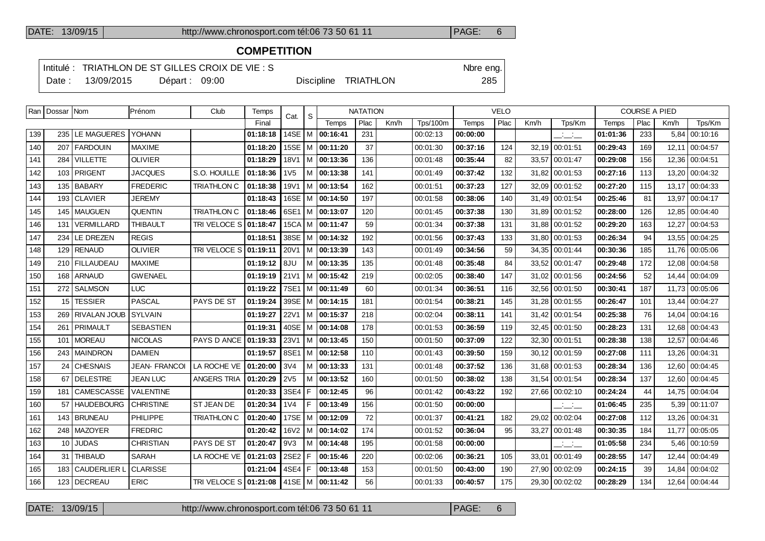## **COMPETITION**

Intitulé : TRIATHLON DE ST GILLES CROIX DE VIE : S<br>
Nbre eng.

Date : 13/09/2015 Départ : 09:00 Discipline TRIATHLON 285

|     | Ran   Dossar   Nom |                   | IPrénom              | Club                         | Temps    | Cat.             | <sub>S</sub> |                            | <b>NATATION</b> |      |                 |          | <b>VELO</b> |      |                          |          | <b>COURSE A PIED</b> |       |                |
|-----|--------------------|-------------------|----------------------|------------------------------|----------|------------------|--------------|----------------------------|-----------------|------|-----------------|----------|-------------|------|--------------------------|----------|----------------------|-------|----------------|
|     |                    |                   |                      |                              | Final    |                  |              | <b>Temps</b>               | Plac            | Km/h | <b>Tps/100m</b> | Temps    | Plac        | Km/h | Tps/Km                   | Temps    | Plac                 | Km/h  | Tps/Km         |
| 139 |                    | 235 LE MAGUERES   | <b>YOHANN</b>        |                              | 01:18:18 | 14SE   M         |              | 00:16:41                   | 231             |      | 00:02:13        | 00:00:00 |             |      | للمنابذ                  | 01:01:36 | 233                  | 5,84  | 00:10:16       |
| 140 |                    | 207 FARDOUIN      | <b>MAXIME</b>        |                              | 01:18:20 |                  |              | 15SE   M <b>  00:11:20</b> | 37              |      | 00:01:30        | 00:37:16 | 124         |      | 32.19 00:01:51           | 00:29:43 | 169                  |       | 12,11 00:04:57 |
| 141 | 284                | <b>VILLETTE</b>   | <b>OLIVIER</b>       |                              | 01:18:29 | 18V1             |              | M 100:13:36                | 136             |      | 00:01:48        | 00:35:44 | 82          |      | 33.57 00:01:47           | 00:29:08 | 156                  | 12,36 | 00:04:51       |
| 142 |                    | 103 PRIGENT       | <b>JACQUES</b>       | S.O. HOUILLE                 | 01:18:36 | 1 <sub>V</sub> 5 |              | M 00:13:38                 | 141             |      | 00:01:49        | 00:37:42 | 132         |      | 31.82 00:01:53           | 00:27:16 | 113                  | 13,20 | 00:04:32       |
| 143 |                    | 135   BABARY      | <b>FREDERIC</b>      | <b>TRIATHLON C</b>           | 01:18:38 | 19V1             |              | M 00:13:54                 | 162             |      | 00:01:51        | 00:37:23 | 127         |      | 32.09 00:01:52           | 00:27:20 | 115                  | 13.17 | 00:04:33       |
| 144 |                    | 193 CLAVIER       | <b>JEREMY</b>        |                              | 01:18:43 |                  |              | 16SE   M   00:14:50        | 197             |      | 00:01:58        | 00:38:06 | 140         |      | 31,49 00:01:54           | 00:25:46 | 81                   | 13,97 | 00:04:17       |
| 145 |                    | 145   MAUGUEN     | <b>QUENTIN</b>       | <b>TRIATHLON C</b>           | 01:18:46 | 6SE1             |              | M 100:13:07                | 120             |      | 00:01:45        | 00:37:38 | 130         |      | 31.89 00:01:52           | 00:28:00 | 126                  | 12.85 | 00:04:40       |
| 146 |                    | 131   VERMILLARD  | <b>THIBAULT</b>      | <b>TRI VELOCE S 01:18:47</b> |          |                  |              | 15CA M 00:11:47            | 59              |      | 00:01:34        | 00:37:38 | 131         |      | 31.88 00:01:52           | 00:29:20 | 163                  | 12.27 | 00:04:53       |
| 147 | 234                | LE DREZEN         | <b>REGIS</b>         |                              | 01:18:51 | 38SE             |              | M 100:14:32                | 192             |      | 00:01:56        | 00:37:43 | 133         |      | 31.80 00:01:53           | 00:26:34 | 94                   | 13,55 | 00:04:25       |
| 148 |                    | 129 RENAUD        | <b>OLIVIER</b>       | <b>TRI VELOCE S 01:19:11</b> |          | 20V1             |              | M 100:13:39                | 143             |      | 00:01:49        | 00:34:56 | 59          |      | 34.35 00:01:44           | 00:30:36 | 185                  | 11.76 | 00:05:06       |
| 149 |                    | 210   FILLAUDEAU  | <b>MAXIME</b>        |                              | 01:19:12 | 8JU              |              | M 00:13:35                 | 135             |      | 00:01:48        | 00:35:48 | 84          |      | 33.52 00:01:47           | 00:29:48 | 172                  | 12.08 | 00:04:58       |
| 150 |                    | 168   ARNAUD      | <b>GWENAEL</b>       |                              | 01:19:19 | 21V1             |              | M   00:15:42               | 219             |      | 00:02:05        | 00:38:40 | 147         |      | 31,02   00:01:56         | 00:24:56 | 52                   | 14,44 | 00.04:09       |
| 151 |                    | 272   SALMSON     | <b>LUC</b>           |                              | 01:19:22 | 7SE1             |              | M 100:11:49                | 60              |      | 00:01:34        | 00:36:51 | 116         |      | 32,56 00:01:50           | 00:30:41 | 187                  | 11,73 | 00:05:06       |
| 152 | 15 l               | <b>TESSIER</b>    | PASCAL               | PAYS DE ST                   | 01:19:24 |                  |              | 39SE   M   00:14:15        | 181             |      | 00:01:54        | 00:38:21 | 145         |      | 31.28 00:01:55           | 00:26:47 | 101                  | 13.44 | 00:04:27       |
| 153 |                    | 269 RIVALAN JOUB  | <b>SYLVAIN</b>       |                              | 01:19:27 | 22V1             |              | M 00:15:37                 | 218             |      | 00:02:04        | 00:38:11 | 141         |      | 31.42 00:01:54           | 00:25:38 | 76                   |       | 14,04 00:04:16 |
| 154 |                    | 261   PRIMAULT    | <b>SEBASTIEN</b>     |                              | 01:19:31 |                  |              | $40SE$   M   00:14:08      | 178             |      | 00:01:53        | 00:36:59 | 119         |      | 32.45 00:01:50           | 00:28:23 | 131                  | 12,68 | 00:04:43       |
| 155 |                    | 101   MOREAU      | <b>NICOLAS</b>       | PAYS D ANCE                  | 01:19:33 | 23V1             |              | M 00:13:45                 | 150             |      | 00:01:50        | 00:37:09 | 122         |      | 32,30 00:01:51           | 00:28:38 | 138                  | 12.57 | 00:04:46       |
| 156 |                    | 243   MAINDRON    | <b>DAMIEN</b>        |                              | 01:19:57 | 8SE1             |              | M 00:12:58                 | 110             |      | 00:01:43        | 00:39:50 | 159         |      | 30.12 00:01:59           | 00:27:08 | 111                  | 13.26 | 00:04:31       |
| 157 |                    | 24 CHESNAIS       | <b>JEAN- FRANCOI</b> | LA ROCHE VE                  | 01:20:00 | 3V4              |              | M 00:13:33                 | 131             |      | 00:01:48        | 00:37:52 | 136         |      | 31,68 00:01:53           | 00:28:34 | 136                  | 12,60 | 00:04:45       |
| 158 | 67                 | <b>DELESTRE</b>   | JEAN LUC             | <b>ANGERS TRIA</b>           | 01:20:29 | 2V <sub>5</sub>  |              | $M$ 00:13:52               | 160             |      | 00:01:50        | 00:38:02 | 138         |      | 31,54 00:01:54           | 00:28:34 | 137                  | 12,60 | 00:04:45       |
| 159 |                    | 181   CAMESCASSE  | VALENTINE            |                              | 01:20:33 | 3SE4             |              | F 100:12:45                | 96              |      | 00:01:42        | 00:43:22 | 192         |      | 27,66 00:02:10           | 00:24:24 | 44                   | 14.75 | 00:04:04       |
| 160 | 57                 | <b>HAUDEBOURG</b> | <b>CHRISTINE</b>     | <b>ST JEAN DE</b>            | 01:20:34 | 1 <sub>V</sub> 4 | F            | 00:13:49                   | 156             |      | 00:01:50        | 00:00:00 |             |      | $\overline{a}$           | 01:06:45 | 235                  | 5,39  | 00:11:07       |
| 161 |                    | 143 BRUNEAU       | <b>PHILIPPE</b>      | <b>TRIATHLON C</b>           | 01:20:40 |                  |              | 17SE   M   00:12:09        | 72              |      | 00:01:37        | 00:41:21 | 182         |      | 29.02 00:02:04           | 00:27:08 | 112                  | 13,26 | 00:04:31       |
| 162 |                    | 248   MAZOYER     | <b>FREDRIC</b>       |                              | 01:20:42 | 16V2             |              | M 100:14:02                | 174             |      | 00:01:52        | 00:36:04 | 95          |      | 33,27 00:01:48           | 00:30:35 | 184                  | 11.77 | 00:05:05       |
| 163 | 10 <sup>1</sup>    | <b>JUDAS</b>      | CHRISTIAN            | PAYS DE ST                   | 01:20:47 | 9V3              |              | M   00:14:48               | 195             |      | 00:01:58        | 00:00:00 |             |      | $\overline{\phantom{a}}$ | 01:05:58 | 234                  | 5.46  | 00:10:59       |
| 164 |                    | 31   THIBAUD      | <b>SARAH</b>         | LA ROCHE VE                  | 01:21:03 | 2SE2 F           |              | 00:15:46                   | 220             |      | 00:02:06        | 00:36:21 | 105         |      | 33,01 00:01:49           | 00:28:55 | 147                  | 12,44 | 00:04:49       |
| 165 |                    | 183 CAUDERLIER L  | <b>CLARISSE</b>      |                              | 01:21:04 | 4SE4   F         |              | 00:13:48                   | 153             |      | 00:01:50        | 00:43:00 | 190         |      | 27,90 00:02:09           | 00:24:15 | 39                   | 14,84 | 00:04:02       |
| 166 |                    | 123 DECREAU       | <b>ERIC</b>          | TRI VELOCE S 01:21:08        |          |                  |              | 41SE   M   00:11:42        | 56              |      | 00:01:33        | 00:40:57 | 175         |      | 29.30 00:02:02           | 00:28:29 | 134                  |       | 12,64 00:04:44 |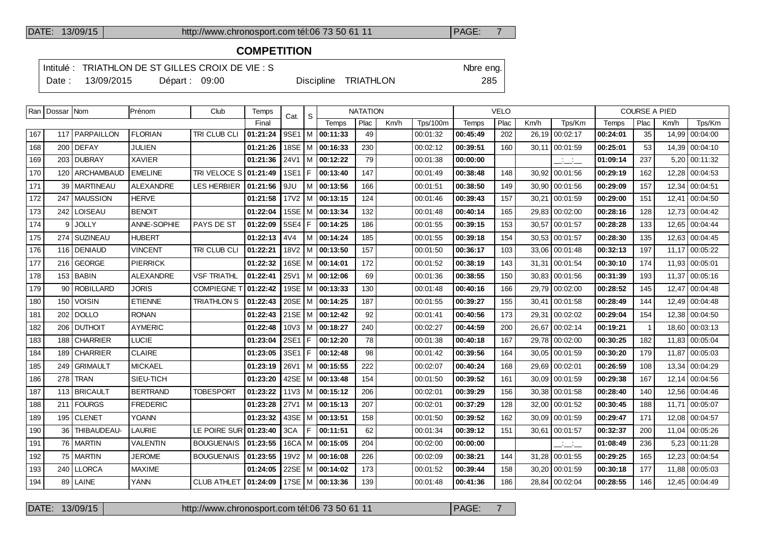## **COMPETITION**

Intitulé : TRIATHLON DE ST GILLES CROIX DE VIE : S<br>
Nbre eng.

Date : 13/09/2015 Départ : 09:00 Discipline TRIATHLON 285

|     | Ran   Dossar   Nom |                    | Prénom           | Club                   | Temps    | Cat.        | S     |                             | <b>NATATION</b> |      |                 |              | <b>VELO</b> |       |                          |          | <b>COURSE A PIED</b> |       |                |
|-----|--------------------|--------------------|------------------|------------------------|----------|-------------|-------|-----------------------------|-----------------|------|-----------------|--------------|-------------|-------|--------------------------|----------|----------------------|-------|----------------|
|     |                    |                    |                  |                        | Final    |             |       | Temps                       | Plac            | Km/h | <b>Tps/100m</b> | <b>Temps</b> | Plac        | Km/h  | Tps/Km                   | Temps    | Plac                 | Km/h  | Tps/Km         |
| 167 |                    | 117   PARPAILLON   | <b>FLORIAN</b>   | TRI CLUB CLI           | 01:21:24 | $9SE1$ M    |       | 00:11:33                    | 49              |      | 00:01:32        | 00:45:49     | 202         | 26.19 | 00:02:17                 | 00:24:01 | 35                   |       | 14,99 00:04:00 |
| 168 | 200                | DEFAY              | JULIEN           |                        | 01:21:26 |             |       | 18SE   M   00:16:33         | 230             |      | 00:02:12        | 00:39:51     | 160         | 30,11 | 00:01:59                 | 00:25:01 | 53                   |       | 14,39 00:04:10 |
| 169 | 203                | <b>DUBRAY</b>      | XAVIER           |                        | 01:21:36 | 24V1        |       | $ M $ 00:12:22              | 79              |      | 00:01:38        | 00:00:00     |             |       | $\overline{\phantom{a}}$ | 01:09:14 | 237                  | 5,20  | 00:11:32       |
| 170 | 120                | <b>ARCHAMBAUD</b>  | <b>EMELINE</b>   | TRI VELOCE S           | 01:21:49 | <b>1SE1</b> | l F . | 00:13:40                    | 147             |      | 00:01:49        | 00:38:48     | 148         | 30.92 | 00:01:56                 | 00:29:19 | 162                  |       | 12,28 00:04:53 |
| 171 | 39                 | <b>MARTINEAU</b>   | <b>ALEXANDRE</b> | <b>LES HERBIER</b>     | 01:21:56 | 9JU         |       | M 00:13:56                  | 166             |      | 00:01:51        | 00:38:50     | 149         | 30,90 | 00:01:56                 | 00:29:09 | 157                  | 12,34 | 00:04:51       |
| 172 | 247                | <b>MAUSSION</b>    | <b>HERVE</b>     |                        | 01:21:58 |             |       | $17V2$   M   00:13:15       | 124             |      | 00:01:46        | 00:39:43     | 157         | 30,21 | 00:01:59                 | 00:29:00 | 151                  |       | 12,41 00:04:50 |
| 173 | 242                | <b>LOISEAU</b>     | <b>BENOIT</b>    |                        | 01:22:04 |             |       | 15SE   M   00:13:34         | 132             |      | 00:01:48        | 00:40:14     | 165         | 29,83 | 00:02:00                 | 00:28:16 | 128                  | 12.73 | 00:04:42       |
| 174 | 9                  | <b>JOLLY</b>       | ANNE-SOPHIE      | PAYS DE ST             | 01:22:09 | $5SE4$   F  |       | 00:14:25                    | 186             |      | 00:01:55        | 00:39:15     | 153         | 30,57 | 00:01:57                 | 00:28:28 | 133                  |       | 12,65 00:04:44 |
| 175 | 274                | <b>SUZINEAU</b>    | <b>HUBERT</b>    |                        | 01:22:13 | 4V4         |       | M   00:14:24                | 185             |      | 00:01:55        | 00:39:18     | 154         | 30,53 | 00:01:57                 | 00:28:30 | 135                  |       | 12,63 00:04:45 |
| 176 |                    | 116   DENIAUD      | <b>VINCENT</b>   | TRI CLUB CLI           | 01:22:21 | 18V2        |       | M 00:13:50                  | 157             |      | 00:01:50        | 00:36:17     | 103         | 33,06 | 00:01:48                 | 00:32:13 | 197                  |       | 11,17 00:05:22 |
| 177 | 216 l              | <b>GEORGE</b>      | <b>PIERRICK</b>  |                        | 01:22:32 |             |       | 16SE   M   00:14:01         | 172             |      | 00:01:52        | 00:38:19     | 143         | 31,31 | 00:01:54                 | 00:30:10 | 174                  |       | 11,93 00:05:01 |
| 178 | 153                | l BABIN            | <b>ALEXANDRE</b> | <b>VSF TRIATHL</b>     | 01:22:41 |             |       | 25V1   M   00:12:06         | 69              |      | 00:01:36        | 00:38:55     | 150         | 30,83 | 00:01:56                 | 00:31:39 | 193                  | 11.37 | 00:05:16       |
| 179 | 90                 | <b>ROBILLARD</b>   | <b>JORIS</b>     | <b>COMPIEGNE T</b>     | 01:22:42 |             |       | 19SE   M   00:13:33         | 130             |      | 00:01:48        | 00:40:16     | 166         | 29,79 | 00:02:00                 | 00:28:52 | 145                  |       | 12,47 00:04:48 |
| 180 | 150                | <b>VOISIN</b>      | <b>ETIENNE</b>   | TRIATHLON S            | 01:22:43 |             |       | 20SE   M   00:14:25         | 187             |      | 00:01:55        | 00:39:27     | 155         | 30.41 | 00:01:58                 | 00:28:49 | 144                  |       | 12,49 00:04:48 |
| 181 | 202                | <b>DOLLO</b>       | <b>RONAN</b>     |                        | 01:22:43 |             |       | 21SE   M   00:12:42         | 92              |      | 00:01:41        | 00:40:56     | 173         | 29,31 | 00:02:02                 | 00:29:04 | 154                  |       | 12,38 00:04:50 |
| 182 | 206                | <b>DUTHOIT</b>     | <b>AYMERIC</b>   |                        | 01:22:48 |             |       | $10\sqrt{3}$   M   00:18:27 | 240             |      | 00:02:27        | 00:44:59     | 200         | 26,67 | 00:02:14                 | 00:19:21 | $\overline{1}$       |       | 18,60 00:03:13 |
| 183 |                    | 188 CHARRIER       | <b>LUCIE</b>     |                        | 01:23:04 |             |       | 2SE1   F   00:12:20         | 78              |      | 00:01:38        | 00:40:18     | 167         | 29,78 | 00:02:00                 | 00:30:25 | 182                  |       | 11,83 00:05:04 |
| 184 | 189                | <b>CHARRIER</b>    | <b>CLAIRE</b>    |                        | 01:23:05 | 3SE1 F      |       | 00:12:48                    | 98              |      | 00:01:42        | 00:39:56     | 164         | 30.05 | 00:01:59                 | 00:30:20 | 179                  | 11.87 | 00:05:03       |
| 185 | 249                | <b>GRIMAULT</b>    | <b>MICKAEL</b>   |                        | 01:23:19 |             |       | 26V1   M   00:15:55         | 222             |      | 00:02:07        | 00:40:24     | 168         |       | 29,69 00:02:01           | 00:26:59 | 108                  |       | 13,34 00:04:29 |
| 186 | 278                | <b>TRAN</b>        | SIEU-TICH        |                        | 01:23:20 |             |       | 42SE   M   00:13:48         | 154             |      | 00:01:50        | 00:39:52     | 161         | 30.09 | 00:01:59                 | 00:29:38 | 167                  |       | 12,14 00:04:56 |
| 187 |                    | 113   BRICAULT     | <b>BERTRAND</b>  | <b>TOBESPORT</b>       | 01:23:22 |             |       | $11\sqrt{3}$   M   00:15:12 | 206             |      | 00:02:01        | 00:39:29     | 156         | 30,38 | 00:01:58                 | 00:28:40 | 140                  |       | 12,56 00:04:46 |
| 188 | 211                | <b>FOURGS</b>      | <b>FREDERIC</b>  |                        | 01:23:28 |             |       | $27V1$   M   00:15:13       | 207             |      | 00:02:01        | 00:37:29     | 128         | 32,00 | 00:01:52                 | 00:30:45 | 188                  | 11,71 | 00:05:07       |
| 189 |                    | 195   CLENET       | <b>YOANN</b>     |                        | 01:23:32 |             |       | 43SE M 00:13:51             | 158             |      | 00:01:50        | 00:39:52     | 162         | 30.09 | 00:01:59                 | 00:29:47 | 171                  |       | 12,08 00:04:57 |
| 190 | 36                 | <b>THIBAUDEAU-</b> | LAURIE           | LE POIRE SUR 01:23:40  |          | 3CA         | F     | 00:11:51                    | 62              |      | 00:01:34        | 00:39:12     | 151         | 30,61 | 00:01:57                 | 00:32:37 | 200                  | 11,04 | 00:05:26       |
| 191 |                    | 76   MARTIN        | <b>VALENTIN</b>  | <b>BOUGUENAIS</b>      | 01:23:55 |             |       | $16CA$   M   00:15:05       | 204             |      | 00:02:00        | 00:00:00     |             |       | $  -$                    | 01:08:49 | 236                  |       | 5,23 00:11:28  |
| 192 |                    | 75   MARTIN        | <b>JEROME</b>    | <b>BOUGUENAIS</b>      | 01:23:55 |             |       | $19V2$   M   00:16:08       | 226             |      | 00:02:09        | 00:38:21     | 144         | 31,28 | 00:01:55                 | 00:29:25 | 165                  | 12,23 | 00:04:54       |
| 193 | 240                | <b>LLORCA</b>      | <b>MAXIME</b>    |                        | 01:24:05 |             |       | 22SE   M   00:14:02         | 173             |      | 00:01:52        | 00:39:44     | 158         | 30,20 | 00:01:59                 | 00:30:18 | 177                  |       | 11,88 00:05:03 |
| 194 |                    | 89 LAINE           | <b>YANN</b>      | CLUB ATHLET   01:24:09 |          |             |       | 17SE   M   00:13:36         | 139             |      | 00:01:48        | 00:41:36     | 186         |       | 28,84 00:02:04           | 00:28:55 | 146                  |       | 12,45 00:04:49 |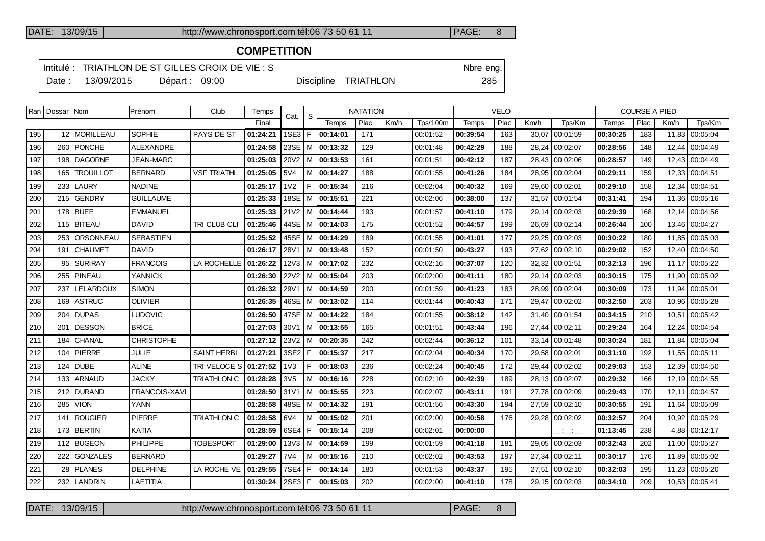## **COMPETITION**

Intitulé : TRIATHLON DE ST GILLES CROIX DE VIE : S<br>
Nbre eng.

Date : 13/09/2015 Départ : 09:00 Discipline TRIATHLON 285

| . .<br>۰. | ×<br>. .<br>۰. |  |
|-----------|----------------|--|
|           |                |  |
|           |                |  |
|           |                |  |

|     | Ran   Dossar   Nom |                  | Prénom               | Club               | Temps    | Cat.             | ' S  |                     | <b>NATATION</b> |      |                 |          | <b>VELO</b> |       |                          |          | <b>COURSE A PIED</b> |       |                |
|-----|--------------------|------------------|----------------------|--------------------|----------|------------------|------|---------------------|-----------------|------|-----------------|----------|-------------|-------|--------------------------|----------|----------------------|-------|----------------|
|     |                    |                  |                      |                    | Final    |                  |      | Temps               | Plac            | Km/h | <b>Tps/100m</b> | Temps    | Plac        | Km/h  | Tps/Km                   | Temps    | Plac                 | Km/h  | Tps/Km         |
| 195 |                    | 12 MORILLEAU     | <b>SOPHIE</b>        | PAYS DE ST         | 01:24:21 | 1SE3 F           |      | 00:14:01            | 171             |      | 00:01:52        | 00:39:54 | 163         | 30,07 | 00:01:59                 | 00:30:25 | 183                  | 11,83 | 00:05:04       |
| 196 |                    | 260 PONCHE       | <b>ALEXANDRE</b>     |                    | 01:24:58 | $23SE$ M         |      | 00:13:32            | 129             |      | 00:01:48        | 00:42:29 | 188         |       | 28,24 00:02:07           | 00:28:56 | 148                  | 12.44 | 00:04:49       |
| 197 | 198                | <b>DAGORNE</b>   | JEAN-MARC            |                    | 01:25:03 | $20V2$ M         |      | 00:13:53            | 161             |      | 00:01:51        | 00:42:12 | 187         | 28,43 | 00:02:06                 | 00:28:57 | 149                  | 12,43 | 00:04:49       |
| 198 | 165                | <b>TROUILLOT</b> | <b>BERNARD</b>       | <b>VSF TRIATHL</b> | 01:25:05 | 5V4              |      | M 100:14:27         | 188             |      | 00:01:55        | 00:41:26 | 184         |       | 28.95 00:02:04           | 00:29:11 | 159                  |       | 12,33 00:04:51 |
| 199 | 233                | <b>LAURY</b>     | <b>NADINE</b>        |                    | 01:25:17 | 1 <sub>V</sub> 2 | F    | 00:15:34            | 216             |      | 00:02:04        | 00:40:32 | 169         |       | 29,60 00:02:01           | 00:29:10 | 158                  |       | 12,34 00:04:51 |
| 200 |                    | 215 GENDRY       | <b>GUILLAUME</b>     |                    | 01:25:33 |                  |      | 18SE   M   00:15:51 | 221             |      | 00:02:06        | 00:38:00 | 137         |       | 31,57 00:01:54           | 00:31:41 | 194                  |       | 11,36 00:05:16 |
| 201 |                    | $178$ BUEE       | <b>EMMANUEL</b>      |                    | 01:25:33 |                  |      | 21V2 M 00:14:44     | 193             |      | 00:01:57        | 00:41:10 | 179         |       | 29,14 00:02:03           | 00:29:39 | 168                  |       | 12,14 00:04:56 |
| 202 |                    | 115 BITEAU       | <b>DAVID</b>         | TRI CLUB CLI       | 01:25:46 |                  |      | 44SE M 00:14:03     | 175             |      | 00:01:52        | 00:44:57 | 199         |       | 26,69 00:02:14           | 00:26:44 | 100                  |       | 13,46 00:04:27 |
| 203 | 253                | ORSONNEAU        | <b>SEBASTIEN</b>     |                    | 01:25:52 |                  |      | 45SE   M   00:14:29 | 189             |      | 00:01:55        | 00:41:01 | 177         |       | 29,25 00:02:03           | 00:30:22 | 180                  |       | 11,85 00:05:03 |
| 204 | 191                | <b>CHAUMET</b>   | <b>DAVID</b>         |                    | 01:26:17 | 28V1             |      | $ M $ 00:13:48      | 152             |      | 00:01:50        | 00:43:27 | 193         |       | 27,62 00:02:10           | 00:29:02 | 152                  |       | 12,40 00:04:50 |
| 205 | 95                 | <b>SURIRAY</b>   | <b>FRANCOIS</b>      | LA ROCHELLE        | 01:26:22 |                  |      | 12V3   M   00:17:02 | 232             |      | 00:02:16        | 00:37:07 | 120         | 32,32 | 00:01:51                 | 00:32:13 | 196                  | 11.17 | 00:05:22       |
| 206 | 255                | <b>PINEAU</b>    | <b>YANNICK</b>       |                    | 01:26:30 |                  |      | 22V2   M   00:15:04 | 203             |      | 00:02:00        | 00:41:11 | 180         |       | 29,14 00:02:03           | 00:30:15 | 175                  |       | 11,90 00:05:02 |
| 207 | 237                | LELARDOUX        | <b>SIMON</b>         |                    | 01:26:32 | 29V1             |      | $ M $ 00:14:59      | 200             |      | 00:01:59        | 00:41:23 | 183         |       | 28,99 00:02:04           | 00:30:09 | 173                  |       | 11,94 00:05:01 |
| 208 | 169                | <b>ASTRUC</b>    | <b>OLIVIER</b>       |                    | 01:26:35 |                  |      | 46SE   M   00:13:02 | 114             |      | 00:01:44        | 00:40:43 | 171         |       | 29,47 00:02:02           | 00:32:50 | 203                  |       | 10.96 00:05:28 |
| 209 | 204                | <b>DUPAS</b>     | <b>LUDOVIC</b>       |                    | 01:26:50 |                  |      | 47SE   M   00:14:22 | 184             |      | 00:01:55        | 00:38:12 | 142         |       | 31,40 00:01:54           | 00:34:15 | 210                  | 10,51 | 00:05:42       |
| 210 | 201                | <b>DESSON</b>    | <b>BRICE</b>         |                    | 01:27:03 | 30V1             |      | $ M $ 00:13:55      | 165             |      | 00:01:51        | 00:43:44 | 196         |       | 27,44 00:02:11           | 00:29:24 | 164                  |       | 12,24 00:04:54 |
| 211 | 184                | CHANAL           | <b>CHRISTOPHE</b>    |                    | 01:27:12 | 23V2             |      | $ M $ 00:20:35      | 242             |      | 00:02:44        | 00:36:12 | 101         |       | 33,14 00:01:48           | 00:30:24 | 181                  |       | 11,84 00:05:04 |
| 212 | 104                | PIERRE           | JULIE                | <b>SAINT HERBL</b> | 01:27:21 | 3SE2 F           |      | 00:15:37            | 217             |      | 00:02:04        | 00:40:34 | 170         |       | 29,58 00:02:01           | 00:31:10 | 192                  |       | 11,55 00:05:11 |
| 213 | 124                | DUBE             | <b>ALINE</b>         | TRI VELOCE S       | 01:27:52 | 1 <sub>V</sub> 3 | F.   | 00:18:03            | 236             |      | 00:02:24        | 00:40:45 | 172         |       | 29,44 00:02:02           | 00:29:03 | 153                  |       | 12,39 00:04:50 |
| 214 | 133                | <b>ARNAUD</b>    | <b>JACKY</b>         | <b>TRIATHLON C</b> | 01:28:28 | 3V <sub>5</sub>  |      | M 00:16:16          | 228             |      | 00:02:10        | 00:42:39 | 189         |       | 28,13 00:02:07           | 00:29:32 | 166                  |       | 12,19 00:04:55 |
| 215 | 212                | <b>DURAND</b>    | <b>FRANCOIS-XAVI</b> |                    | 01:28:50 | 31V1             |      | M 00:15:55          | 223             |      | 00:02:07        | 00:43:11 | 191         |       | 27,78 00:02:09           | 00:29:43 | 170                  | 12.11 | 00:04:57       |
| 216 | 285                | <b>VION</b>      | YANN                 |                    | 01:28:58 |                  |      | 48SE   M   00:14:32 | 191             |      | 00:01:56        | 00:43:30 | 194         |       | 27,59 00:02:10           | 00:30:55 | 191                  | 11.64 | 00:05:09       |
| 217 | 141                | <b>ROUGIER</b>   | <b>PIERRE</b>        | <b>TRIATHLON C</b> | 01:28:58 | 6V4              |      | M   00:15:02        | 201             |      | 00:02:00        | 00:40:58 | 176         |       | 29,28 00:02:02           | 00:32:57 | 204                  |       | 10,92 00:05:29 |
| 218 |                    | 173 BERTIN       | KATIA                |                    | 01:28:59 | 6SE4             | l F. | 00:15:14            | 208             |      | 00:02:01        | 00:00:00 |             |       | $\overline{\phantom{a}}$ | 01:13:45 | 238                  |       | 4,88 00:12:17  |
| 219 |                    | 112 BUGEON       | PHILIPPE             | <b>TOBESPORT</b>   | 01:29:00 |                  |      | 13V3   M   00:14:59 | 199             |      | 00:01:59        | 00:41:18 | 181         |       | 29,05 00:02:03           | 00:32:43 | 202                  |       | 11,00 00:05:27 |
| 220 | 222                | <b>GONZALES</b>  | <b>BERNARD</b>       |                    | 01:29:27 | 7V4              | M    | 00:15:16            | 210             |      | 00:02:02        | 00:43:53 | 197         |       | 27,34 00:02:11           | 00:30:17 | 176                  |       | 11,89 00:05:02 |
| 221 | 28                 | <b>PLANES</b>    | <b>DELPHINE</b>      | LA ROCHE VE        | 01:29:55 | 7SE4 F           |      | 00:14:14            | 180             |      | 00:01:53        | 00:43:37 | 195         |       | 27,51 00:02:10           | 00:32:03 | 195                  |       | 11,23 00:05:20 |
| 222 |                    | 232 LANDRIN      | LAETITIA             |                    | 01:30:24 | 2SE3 F           |      | 00:15:03            | 202             |      | 00:02:00        | 00:41:10 | 178         |       | 29.15 00:02:03           | 00:34:10 | 209                  |       | 10,53 00:05:41 |